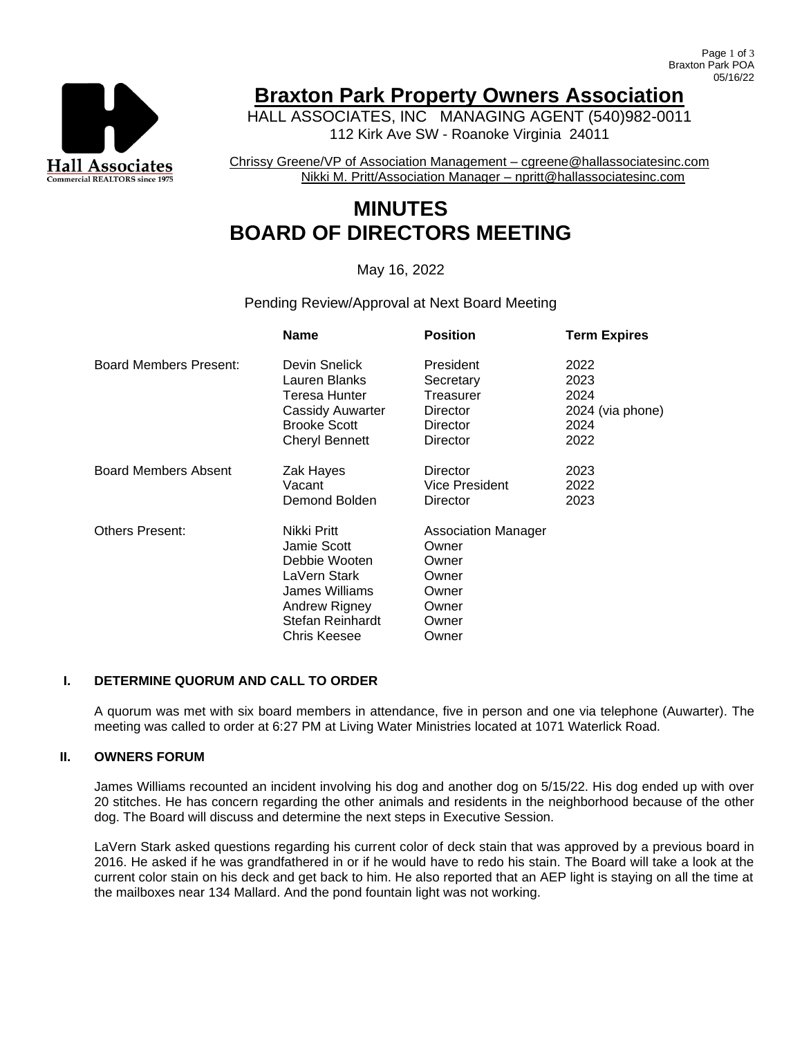

## **Braxton Park Property Owners Association**

HALL ASSOCIATES, INC MANAGING AGENT (540)982-0011 112 Kirk Ave SW - Roanoke Virginia 24011

Chrissy Greene/VP of Association Management – cgreene@hallassociatesinc.com Nikki M. Pritt/Association Manager – npritt@hallassociatesinc.com

# **MINUTES BOARD OF DIRECTORS MEETING**

## May 16, 2022

Pending Review/Approval at Next Board Meeting

|                        | <b>Name</b>         | <b>Position</b>       | <b>Term Expires</b> |
|------------------------|---------------------|-----------------------|---------------------|
| Board Members Present: | Devin Snelick       | President             | 2022                |
|                        | Lauren Blanks       | Secretary             | 2023                |
|                        | Teresa Hunter       | Treasurer             | 2024                |
|                        | Cassidy Auwarter    | Director              | 2024 (via phone)    |
|                        | <b>Brooke Scott</b> | Director              | 2024                |
|                        | Cheryl Bennett      | Director              | 2022                |
| Board Members Absent   | Zak Hayes           | Director              | 2023                |
|                        | Vacant              | <b>Vice President</b> | 2022                |
|                        | Demond Bolden       | Director              | 2023                |
| <b>Others Present:</b> | Nikki Pritt         | Association Manager   |                     |
|                        | Jamie Scott         | Owner                 |                     |
|                        | Debbie Wooten       | Owner                 |                     |
|                        | LaVern Stark        | Owner                 |                     |
|                        | James Williams      | Owner                 |                     |
|                        | Andrew Rigney       | Owner                 |                     |
|                        | Stefan Reinhardt    | Owner                 |                     |
|                        | Chris Keesee        | Owner                 |                     |

### **I. DETERMINE QUORUM AND CALL TO ORDER**

A quorum was met with six board members in attendance, five in person and one via telephone (Auwarter). The meeting was called to order at 6:27 PM at Living Water Ministries located at 1071 Waterlick Road.

#### **II. OWNERS FORUM**

James Williams recounted an incident involving his dog and another dog on 5/15/22. His dog ended up with over 20 stitches. He has concern regarding the other animals and residents in the neighborhood because of the other dog. The Board will discuss and determine the next steps in Executive Session.

LaVern Stark asked questions regarding his current color of deck stain that was approved by a previous board in 2016. He asked if he was grandfathered in or if he would have to redo his stain. The Board will take a look at the current color stain on his deck and get back to him. He also reported that an AEP light is staying on all the time at the mailboxes near 134 Mallard. And the pond fountain light was not working.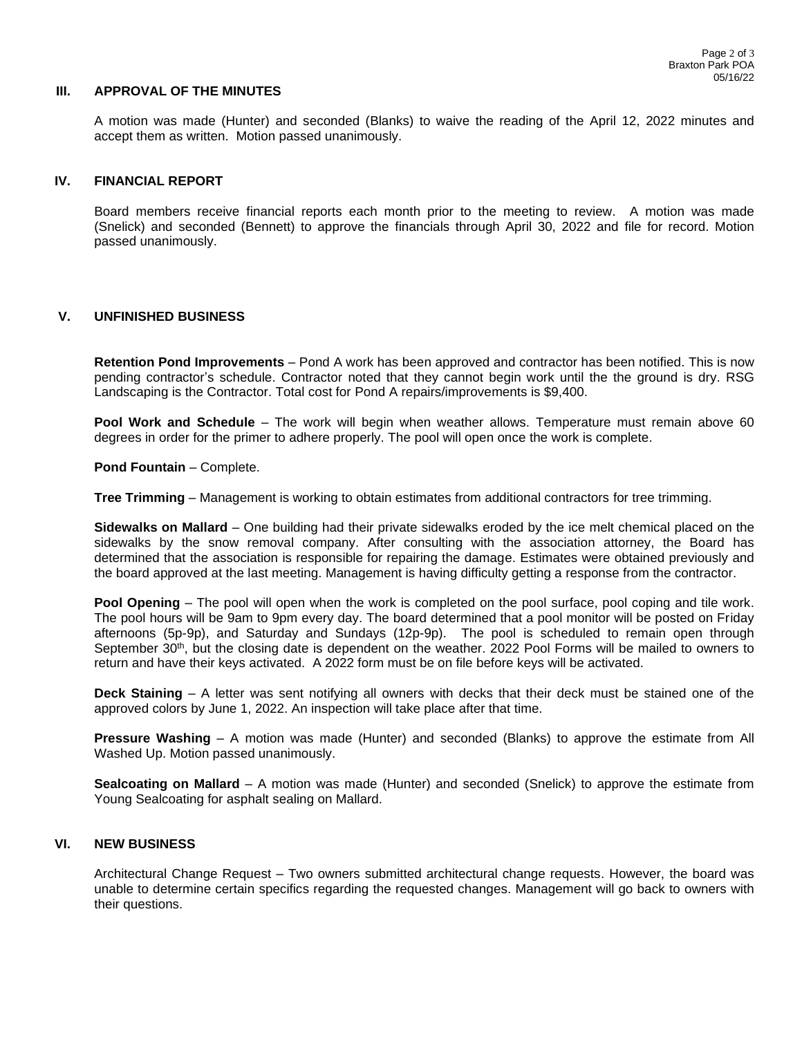#### **III. APPROVAL OF THE MINUTES**

A motion was made (Hunter) and seconded (Blanks) to waive the reading of the April 12, 2022 minutes and accept them as written. Motion passed unanimously.

#### **IV. FINANCIAL REPORT**

Board members receive financial reports each month prior to the meeting to review. A motion was made (Snelick) and seconded (Bennett) to approve the financials through April 30, 2022 and file for record. Motion passed unanimously.

#### **V. UNFINISHED BUSINESS**

**Retention Pond Improvements** – Pond A work has been approved and contractor has been notified. This is now pending contractor's schedule. Contractor noted that they cannot begin work until the the ground is dry. RSG Landscaping is the Contractor. Total cost for Pond A repairs/improvements is \$9,400.

**Pool Work and Schedule** – The work will begin when weather allows. Temperature must remain above 60 degrees in order for the primer to adhere properly. The pool will open once the work is complete.

**Pond Fountain** – Complete.

**Tree Trimming** – Management is working to obtain estimates from additional contractors for tree trimming.

**Sidewalks on Mallard** – One building had their private sidewalks eroded by the ice melt chemical placed on the sidewalks by the snow removal company. After consulting with the association attorney, the Board has determined that the association is responsible for repairing the damage. Estimates were obtained previously and the board approved at the last meeting. Management is having difficulty getting a response from the contractor.

**Pool Opening** – The pool will open when the work is completed on the pool surface, pool coping and tile work. The pool hours will be 9am to 9pm every day. The board determined that a pool monitor will be posted on Friday afternoons (5p-9p), and Saturday and Sundays (12p-9p). The pool is scheduled to remain open through September 30<sup>th</sup>, but the closing date is dependent on the weather. 2022 Pool Forms will be mailed to owners to return and have their keys activated. A 2022 form must be on file before keys will be activated.

**Deck Staining** – A letter was sent notifying all owners with decks that their deck must be stained one of the approved colors by June 1, 2022. An inspection will take place after that time.

**Pressure Washing** – A motion was made (Hunter) and seconded (Blanks) to approve the estimate from All Washed Up. Motion passed unanimously.

**Sealcoating on Mallard** – A motion was made (Hunter) and seconded (Snelick) to approve the estimate from Young Sealcoating for asphalt sealing on Mallard.

#### **VI. NEW BUSINESS**

Architectural Change Request – Two owners submitted architectural change requests. However, the board was unable to determine certain specifics regarding the requested changes. Management will go back to owners with their questions.